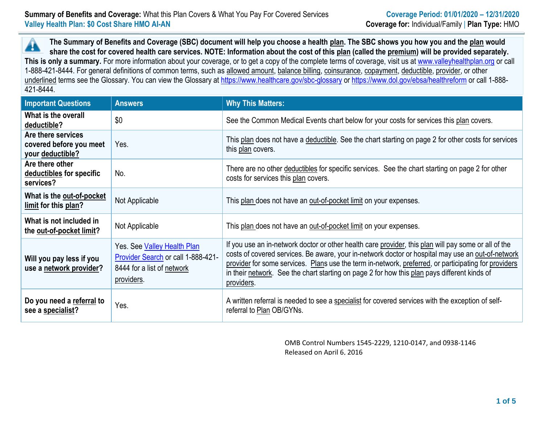**The Summary of Benefits and Coverage (SBC) document will help you choose a health plan. The SBC shows you how you and the plan would** ▲ **share the cost for covered health care services. NOTE: Information about the cost of this plan (called the premium) will be provided separately.** This is only a summary. For more information about your coverage, or to get a copy of the complete terms of coverage, visit us at [www.valleyhealthplan.org](http://www.valleyhealthplan.org/) or call 1-888-421-8444. For general definitions of common terms, such as allowed amount, balance billing, coinsurance, copayment, deductible, provider, or other underlined terms see the Glossary. You can view the Glossary at<https://www.healthcare.gov/sbc-glossary> or<https://www.dol.gov/ebsa/healthreform> or call 1-888-421-8444.

| <b>Important Questions</b>                                        | <b>Answers</b>                                                                                                | <b>Why This Matters:</b>                                                                                                                                                                                                                                                                                                                                                                                                        |
|-------------------------------------------------------------------|---------------------------------------------------------------------------------------------------------------|---------------------------------------------------------------------------------------------------------------------------------------------------------------------------------------------------------------------------------------------------------------------------------------------------------------------------------------------------------------------------------------------------------------------------------|
| What is the overall<br>deductible?                                | \$0                                                                                                           | See the Common Medical Events chart below for your costs for services this plan covers.                                                                                                                                                                                                                                                                                                                                         |
| Are there services<br>covered before you meet<br>your deductible? | Yes.                                                                                                          | This plan does not have a deductible. See the chart starting on page 2 for other costs for services<br>this plan covers.                                                                                                                                                                                                                                                                                                        |
| Are there other<br>deductibles for specific<br>services?          | No.                                                                                                           | There are no other deductibles for specific services. See the chart starting on page 2 for other<br>costs for services this plan covers.                                                                                                                                                                                                                                                                                        |
| What is the out-of-pocket<br>limit for this plan?                 | Not Applicable                                                                                                | This plan does not have an out-of-pocket limit on your expenses.                                                                                                                                                                                                                                                                                                                                                                |
| What is not included in<br>the out-of-pocket limit?               | Not Applicable                                                                                                | This plan does not have an out-of-pocket limit on your expenses.                                                                                                                                                                                                                                                                                                                                                                |
| Will you pay less if you<br>use a network provider?               | Yes. See Valley Health Plan<br>Provider Search or call 1-888-421-<br>8444 for a list of network<br>providers. | If you use an in-network doctor or other health care provider, this plan will pay some or all of the<br>costs of covered services. Be aware, your in-network doctor or hospital may use an out-of-network<br>provider for some services. Plans use the term in-network, preferred, or participating for providers<br>in their network. See the chart starting on page 2 for how this plan pays different kinds of<br>providers. |
| Do you need a referral to<br>see a specialist?                    | Yes.                                                                                                          | A written referral is needed to see a specialist for covered services with the exception of self-<br>referral to Plan OB/GYNs.                                                                                                                                                                                                                                                                                                  |

OMB Control Numbers 1545-2229, 1210-0147, and 0938-1146 Released on April 6, 2016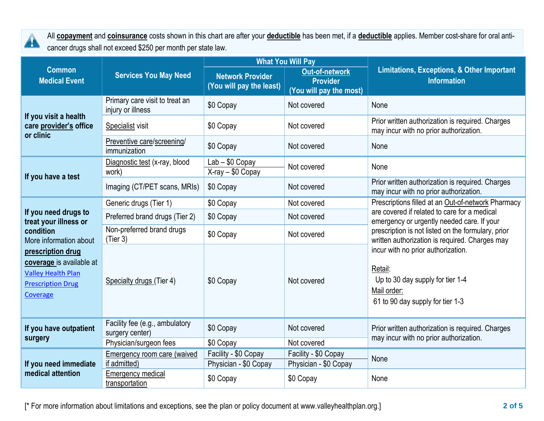

All **copayment** and **coinsurance** costs shown in this chart are after your **deductible** has been met, if a **deductible** applies. Member cost-share for oral anticancer drugs shall not exceed \$250 per month per state law.

|                                                                                                                    | <b>Services You May Need</b>                        |                                                     | <b>What You Will Pay</b>                                            | <b>Limitations, Exceptions, &amp; Other Important</b><br><b>Information</b>                                                          |  |
|--------------------------------------------------------------------------------------------------------------------|-----------------------------------------------------|-----------------------------------------------------|---------------------------------------------------------------------|--------------------------------------------------------------------------------------------------------------------------------------|--|
| <b>Common</b><br><b>Medical Event</b>                                                                              |                                                     | <b>Network Provider</b><br>(You will pay the least) | <b>Out-of-network</b><br><b>Provider</b><br>(You will pay the most) |                                                                                                                                      |  |
| If you visit a health<br>care provider's office<br>or clinic                                                       | Primary care visit to treat an<br>injury or illness | \$0 Copay                                           | Not covered                                                         | None                                                                                                                                 |  |
|                                                                                                                    | Specialist visit                                    | \$0 Copay                                           | Not covered                                                         | Prior written authorization is required. Charges<br>may incur with no prior authorization.                                           |  |
|                                                                                                                    | Preventive care/screening/<br>immunization          | \$0 Copay                                           | Not covered                                                         | None                                                                                                                                 |  |
| If you have a test                                                                                                 | Diagnostic test (x-ray, blood<br>work)              | $Lab - $0$ Copay<br>X-ray - \$0 Copay               | Not covered                                                         | None                                                                                                                                 |  |
|                                                                                                                    | Imaging (CT/PET scans, MRIs)                        | \$0 Copay                                           | Not covered                                                         | Prior written authorization is required. Charges<br>may incur with no prior authorization.                                           |  |
|                                                                                                                    | Generic drugs (Tier 1)                              | \$0 Copay                                           | Not covered                                                         | Prescriptions filled at an Out-of-network Pharmacy                                                                                   |  |
| If you need drugs to<br>treat your illness or<br>condition<br>More information about                               | Preferred brand drugs (Tier 2)                      | \$0 Copay                                           | Not covered                                                         | are covered if related to care for a medical<br>emergency or urgently needed care. If your                                           |  |
|                                                                                                                    | Non-preferred brand drugs<br>(Tier 3)               | \$0 Copay                                           | Not covered                                                         | prescription is not listed on the formulary, prior<br>written authorization is required. Charges may                                 |  |
| prescription drug<br>coverage is available at<br><b>Valley Health Plan</b><br><b>Prescription Drug</b><br>Coverage | Specialty drugs (Tier 4)                            | \$0 Copay                                           | Not covered                                                         | incur with no prior authorization.<br>Retail:<br>Up to 30 day supply for tier 1-4<br>Mail order:<br>61 to 90 day supply for tier 1-3 |  |
| If you have outpatient<br>surgery                                                                                  | Facility fee (e.g., ambulatory<br>surgery center)   | \$0 Copay                                           | Not covered                                                         | Prior written authorization is required. Charges<br>may incur with no prior authorization.                                           |  |
|                                                                                                                    | Physician/surgeon fees                              | \$0 Copay                                           | Not covered                                                         |                                                                                                                                      |  |
| If you need immediate<br>medical attention                                                                         | <b>Emergency room care (waived</b><br>if admitted)  | Facility - \$0 Copay<br>Physician - \$0 Copay       | Facility - \$0 Copay<br>Physician - \$0 Copay                       | None                                                                                                                                 |  |
|                                                                                                                    | <b>Emergency medical</b><br>transportation          | \$0 Copay                                           | \$0 Copay                                                           | None                                                                                                                                 |  |

[\* For more information about limitations and exceptions, see the plan or policy document at www.valleyhealthplan.org.] **2 of 5**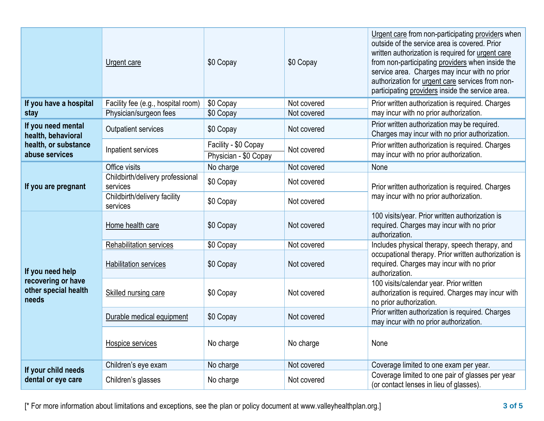|                                                                                    | Urgent care                                  | \$0 Copay                                     | \$0 Copay   | Urgent care from non-participating providers when<br>outside of the service area is covered. Prior<br>written authorization is required for urgent care<br>from non-participating providers when inside the<br>service area. Charges may incur with no prior<br>authorization for urgent care services from non-<br>participating providers inside the service area. |  |
|------------------------------------------------------------------------------------|----------------------------------------------|-----------------------------------------------|-------------|----------------------------------------------------------------------------------------------------------------------------------------------------------------------------------------------------------------------------------------------------------------------------------------------------------------------------------------------------------------------|--|
| If you have a hospital                                                             | Facility fee (e.g., hospital room)           | \$0 Copay                                     | Not covered | Prior written authorization is required. Charges                                                                                                                                                                                                                                                                                                                     |  |
| stay                                                                               | Physician/surgeon fees                       | \$0 Copay                                     | Not covered | may incur with no prior authorization.                                                                                                                                                                                                                                                                                                                               |  |
| If you need mental<br>health, behavioral<br>health, or substance<br>abuse services | <b>Outpatient services</b>                   | \$0 Copay                                     | Not covered | Prior written authorization may be required.<br>Charges may incur with no prior authorization.                                                                                                                                                                                                                                                                       |  |
|                                                                                    | Inpatient services                           | Facility - \$0 Copay<br>Physician - \$0 Copay | Not covered | Prior written authorization is required. Charges<br>may incur with no prior authorization.                                                                                                                                                                                                                                                                           |  |
|                                                                                    | Office visits                                | No charge                                     | Not covered | None                                                                                                                                                                                                                                                                                                                                                                 |  |
| If you are pregnant                                                                | Childbirth/delivery professional<br>services | \$0 Copay                                     | Not covered | Prior written authorization is required. Charges<br>may incur with no prior authorization.                                                                                                                                                                                                                                                                           |  |
|                                                                                    | Childbirth/delivery facility<br>services     | \$0 Copay                                     | Not covered |                                                                                                                                                                                                                                                                                                                                                                      |  |
|                                                                                    | Home health care                             | \$0 Copay                                     | Not covered | 100 visits/year. Prior written authorization is<br>required. Charges may incur with no prior<br>authorization.                                                                                                                                                                                                                                                       |  |
|                                                                                    | Rehabilitation services                      | \$0 Copay                                     | Not covered | Includes physical therapy, speech therapy, and                                                                                                                                                                                                                                                                                                                       |  |
| If you need help<br>recovering or have<br>other special health<br>needs            | <b>Habilitation services</b>                 | \$0 Copay                                     | Not covered | occupational therapy. Prior written authorization is<br>required. Charges may incur with no prior<br>authorization.                                                                                                                                                                                                                                                  |  |
|                                                                                    | Skilled nursing care                         | \$0 Copay                                     | Not covered | 100 visits/calendar year. Prior written<br>authorization is required. Charges may incur with<br>no prior authorization.                                                                                                                                                                                                                                              |  |
|                                                                                    | Durable medical equipment                    | \$0 Copay                                     | Not covered | Prior written authorization is required. Charges<br>may incur with no prior authorization.                                                                                                                                                                                                                                                                           |  |
|                                                                                    | Hospice services                             | No charge                                     | No charge   | None                                                                                                                                                                                                                                                                                                                                                                 |  |
|                                                                                    | Children's eye exam                          | No charge                                     | Not covered | Coverage limited to one exam per year.                                                                                                                                                                                                                                                                                                                               |  |
| If your child needs<br>dental or eye care                                          | Children's glasses                           | No charge                                     | Not covered | Coverage limited to one pair of glasses per year<br>(or contact lenses in lieu of glasses).                                                                                                                                                                                                                                                                          |  |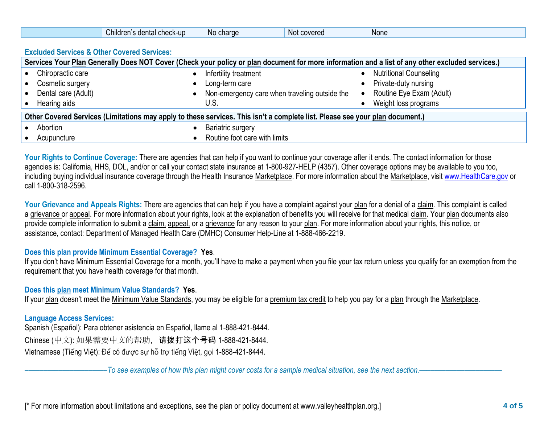|                                                                                                                              | Children's dental check-up                             | No charge                     | Not covered                                   | None                                                                                                                                             |  |
|------------------------------------------------------------------------------------------------------------------------------|--------------------------------------------------------|-------------------------------|-----------------------------------------------|--------------------------------------------------------------------------------------------------------------------------------------------------|--|
|                                                                                                                              | <b>Excluded Services &amp; Other Covered Services:</b> |                               |                                               |                                                                                                                                                  |  |
|                                                                                                                              |                                                        |                               |                                               | Services Your Plan Generally Does NOT Cover (Check your policy or plan document for more information and a list of any other excluded services.) |  |
| Chiropractic care                                                                                                            |                                                        | Infertility treatment         |                                               | <b>Nutritional Counseling</b>                                                                                                                    |  |
| Cosmetic surgery                                                                                                             |                                                        | Long-term care                |                                               | Private-duty nursing                                                                                                                             |  |
| Dental care (Adult)                                                                                                          |                                                        |                               | Non-emergency care when traveling outside the | Routine Eye Exam (Adult)<br>$\bullet$                                                                                                            |  |
| Hearing aids                                                                                                                 |                                                        | U.S.                          |                                               | Weight loss programs                                                                                                                             |  |
| Other Covered Services (Limitations may apply to these services. This isn't a complete list. Please see your plan document.) |                                                        |                               |                                               |                                                                                                                                                  |  |
| Abortion                                                                                                                     |                                                        | Bariatric surgery             |                                               |                                                                                                                                                  |  |
| Acupuncture                                                                                                                  |                                                        | Routine foot care with limits |                                               |                                                                                                                                                  |  |

Your Rights to Continue Coverage: There are agencies that can help if you want to continue your coverage after it ends. The contact information for those agencies is: California, HHS, DOL, and/or or call your contact state insurance at 1-800-927-HELP (4357). Other coverage options may be available to you too, including buying individual insurance coverage through the Health Insurance Marketplace. For more information about the Marketplace, visit [www.HealthCare.gov](http://www.healthcare.gov/) or call 1-800-318-2596.

Your Grievance and Appeals Rights: There are agencies that can help if you have a complaint against your plan for a denial of a claim. This complaint is called a grievance or appeal. For more information about your rights, look at the explanation of benefits you will receive for that medical claim. Your plan documents also provide complete information to submit a claim, appeal, or a grievance for any reason to your plan. For more information about your rights, this notice, or assistance, contact: Department of Managed Health Care (DMHC) Consumer Help-Line at 1-888-466-2219.

## **Does this plan provide Minimum Essential Coverage? Yes**.

If you don't have Minimum Essential Coverage for a month, you'll have to make a payment when you file your tax return unless you qualify for an exemption from the requirement that you have health coverage for that month.

## **Does this plan meet Minimum Value Standards? Yes**.

If your plan doesn't meet the Minimum Value Standards, you may be eligible for a premium tax credit to help you pay for a plan through the Marketplace.

## **Language Access Services:**

Spanish (Español): Para obtener asistencia en Español, llame al 1-888-421-8444. Chinese (中文): 如果需要中文的帮助,请拨打这个号码 1-888-421-8444. Vietnamese (Tiếng Việt): Để có được sự hỗ trợ tiếng Việt, gọi 1-888-421-8444.

––––––––––––––––––––––*To see examples of how this plan might cover costs for a sample medical situation, see the next section.–––––––––––*–––––––––––